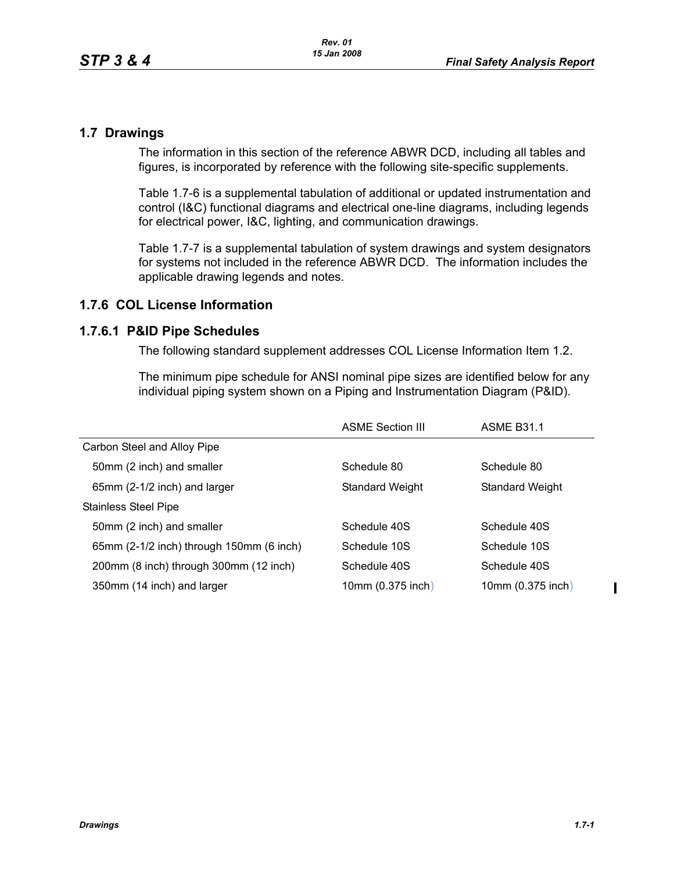### **1.7 Drawings**

The information in this section of the reference ABWR DCD, including all tables and figures, is incorporated by reference with the following site-specific supplements.

Table [1.7-6](#page-1-0) is a supplemental tabulation of additional or updated instrumentation and control (I&C) functional diagrams and electrical one-line diagrams, including legends for electrical power, I&C, lighting, and communication drawings.

Table [1.7-7](#page-2-0) is a supplemental tabulation of system drawings and system designators for systems not included in the reference ABWR DCD. The information includes the applicable drawing legends and notes.

# **1.7.6 COL License Information**

### **1.7.6.1 P&ID Pipe Schedules**

The following standard supplement addresses COL License Information Item 1.2.

The minimum pipe schedule for ANSI nominal pipe sizes are identified below for any individual piping system shown on a Piping and Instrumentation Diagram (P&ID).

|                                          | <b>ASME Section III</b> | <b>ASME B31.1</b> |
|------------------------------------------|-------------------------|-------------------|
| Carbon Steel and Alloy Pipe              |                         |                   |
| 50mm (2 inch) and smaller                | Schedule 80             | Schedule 80       |
| 65mm (2-1/2 inch) and larger             | Standard Weight         | Standard Weight   |
| <b>Stainless Steel Pipe</b>              |                         |                   |
| 50mm (2 inch) and smaller                | Schedule 40S            | Schedule 40S      |
| 65mm (2-1/2 inch) through 150mm (6 inch) | Schedule 10S            | Schedule 10S      |
| 200mm (8 inch) through 300mm (12 inch)   | Schedule 40S            | Schedule 40S      |
| 350mm (14 inch) and larger               | 10mm (0.375 inch)       | 10mm (0.375 inch) |

 $\blacksquare$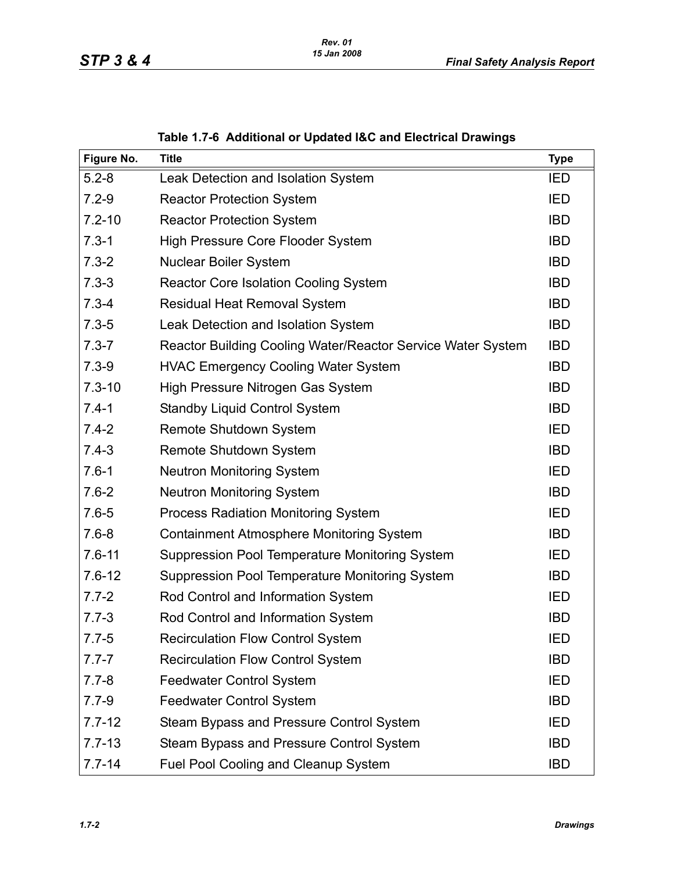<span id="page-1-0"></span>

| Figure No. | <b>Title</b>                                                | <b>Type</b> |
|------------|-------------------------------------------------------------|-------------|
| $5.2 - 8$  | Leak Detection and Isolation System                         | <b>IED</b>  |
| $7.2 - 9$  | <b>Reactor Protection System</b>                            | <b>IED</b>  |
| $7.2 - 10$ | <b>Reactor Protection System</b>                            | <b>IBD</b>  |
| $7.3 - 1$  | <b>High Pressure Core Flooder System</b>                    | <b>IBD</b>  |
| $7.3 - 2$  | <b>Nuclear Boiler System</b>                                | <b>IBD</b>  |
| $7.3 - 3$  | <b>Reactor Core Isolation Cooling System</b>                | <b>IBD</b>  |
| $7.3 - 4$  | <b>Residual Heat Removal System</b>                         | <b>IBD</b>  |
| $7.3 - 5$  | Leak Detection and Isolation System                         | <b>IBD</b>  |
| $7.3 - 7$  | Reactor Building Cooling Water/Reactor Service Water System | <b>IBD</b>  |
| $7.3 - 9$  | <b>HVAC Emergency Cooling Water System</b>                  | <b>IBD</b>  |
| $7.3 - 10$ | High Pressure Nitrogen Gas System                           | <b>IBD</b>  |
| $7.4 - 1$  | <b>Standby Liquid Control System</b>                        | <b>IBD</b>  |
| $7.4 - 2$  | Remote Shutdown System                                      | <b>IED</b>  |
| $7.4 - 3$  | Remote Shutdown System                                      | <b>IBD</b>  |
| $7.6 - 1$  | <b>Neutron Monitoring System</b>                            | IED         |
| $7.6 - 2$  | <b>Neutron Monitoring System</b>                            | <b>IBD</b>  |
| $7.6 - 5$  | <b>Process Radiation Monitoring System</b>                  | IED         |
| $7.6 - 8$  | <b>Containment Atmosphere Monitoring System</b>             | <b>IBD</b>  |
| $7.6 - 11$ | Suppression Pool Temperature Monitoring System              | <b>IED</b>  |
| $7.6 - 12$ | Suppression Pool Temperature Monitoring System              | <b>IBD</b>  |
| $7.7 - 2$  | Rod Control and Information System                          | <b>IED</b>  |
| $7.7 - 3$  | Rod Control and Information System                          | <b>IBD</b>  |
| $7.7 - 5$  | <b>Recirculation Flow Control System</b>                    | <b>IED</b>  |
| $7.7 - 7$  | <b>Recirculation Flow Control System</b>                    | <b>IBD</b>  |
| $7.7 - 8$  | <b>Feedwater Control System</b>                             | IED         |
| $7.7 - 9$  | <b>Feedwater Control System</b>                             | <b>IBD</b>  |
| $7.7 - 12$ | Steam Bypass and Pressure Control System                    | IED         |
| $7.7 - 13$ | Steam Bypass and Pressure Control System                    | <b>IBD</b>  |
| $7.7 - 14$ | Fuel Pool Cooling and Cleanup System                        | <b>IBD</b>  |

# **Table 1.7-6 Additional or Updated I&C and Electrical Drawings**